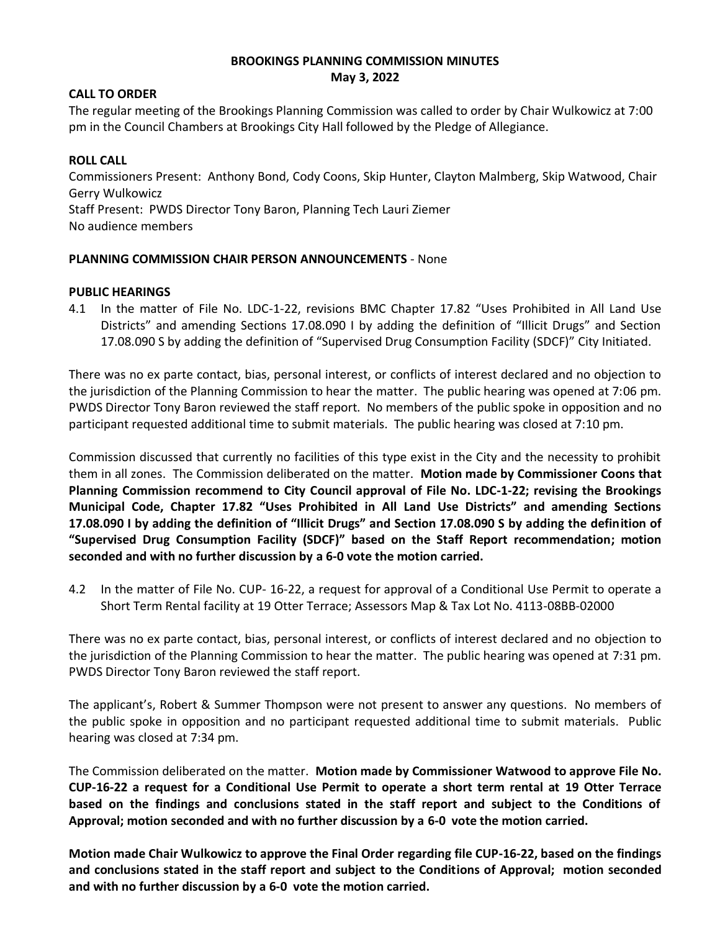# **BROOKINGS PLANNING COMMISSION MINUTES May 3, 2022**

### **CALL TO ORDER**

The regular meeting of the Brookings Planning Commission was called to order by Chair Wulkowicz at 7:00 pm in the Council Chambers at Brookings City Hall followed by the Pledge of Allegiance.

### **ROLL CALL**

Commissioners Present: Anthony Bond, Cody Coons, Skip Hunter, Clayton Malmberg, Skip Watwood, Chair Gerry Wulkowicz Staff Present: PWDS Director Tony Baron, Planning Tech Lauri Ziemer No audience members

# **PLANNING COMMISSION CHAIR PERSON ANNOUNCEMENTS** - None

#### **PUBLIC HEARINGS**

4.1 In the matter of File No. LDC-1-22, revisions BMC Chapter 17.82 "Uses Prohibited in All Land Use Districts" and amending Sections 17.08.090 I by adding the definition of "Illicit Drugs" and Section 17.08.090 S by adding the definition of "Supervised Drug Consumption Facility (SDCF)" City Initiated.

There was no ex parte contact, bias, personal interest, or conflicts of interest declared and no objection to the jurisdiction of the Planning Commission to hear the matter. The public hearing was opened at 7:06 pm. PWDS Director Tony Baron reviewed the staff report. No members of the public spoke in opposition and no participant requested additional time to submit materials. The public hearing was closed at 7:10 pm.

Commission discussed that currently no facilities of this type exist in the City and the necessity to prohibit them in all zones. The Commission deliberated on the matter. **Motion made by Commissioner Coons that Planning Commission recommend to City Council approval of File No. LDC-1-22; revising the Brookings Municipal Code, Chapter 17.82 "Uses Prohibited in All Land Use Districts" and amending Sections 17.08.090 I by adding the definition of "Illicit Drugs" and Section 17.08.090 S by adding the definition of "Supervised Drug Consumption Facility (SDCF)" based on the Staff Report recommendation; motion seconded and with no further discussion by a 6-0 vote the motion carried.**

4.2 In the matter of File No. CUP- 16-22, a request for approval of a Conditional Use Permit to operate a Short Term Rental facility at 19 Otter Terrace; Assessors Map & Tax Lot No. 4113-08BB-02000

There was no ex parte contact, bias, personal interest, or conflicts of interest declared and no objection to the jurisdiction of the Planning Commission to hear the matter. The public hearing was opened at 7:31 pm. PWDS Director Tony Baron reviewed the staff report.

The applicant's, Robert & Summer Thompson were not present to answer any questions. No members of the public spoke in opposition and no participant requested additional time to submit materials. Public hearing was closed at 7:34 pm.

The Commission deliberated on the matter. **Motion made by Commissioner Watwood to approve File No. CUP-16-22 a request for a Conditional Use Permit to operate a short term rental at 19 Otter Terrace based on the findings and conclusions stated in the staff report and subject to the Conditions of Approval; motion seconded and with no further discussion by a 6-0 vote the motion carried.**

**Motion made Chair Wulkowicz to approve the Final Order regarding file CUP-16-22, based on the findings and conclusions stated in the staff report and subject to the Conditions of Approval; motion seconded and with no further discussion by a 6-0 vote the motion carried.**